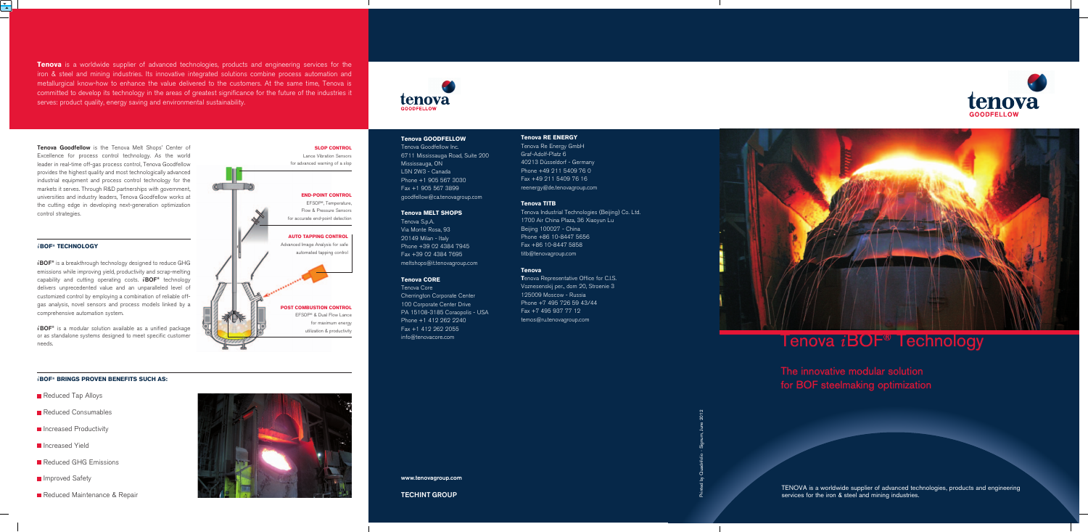**Tenova Goodfellow** is the Tenova Melt Shops' Center of Excellence for process control technology. As the world leader in real-time off-gas process control, Tenova Goodfellow provides the highest quality and most technologically advanced industrial equipment and process control technology for the markets it serves. Through R&D partnerships with government, universities and industry leaders, Tenova Goodfellow works at the cutting edge in developing next-generation optimization control strategies.

# *i***BOF® TECHNOLOGY**

*i***BOF®** is a breakthrough technology designed to reduce GHG emissions while improving yield, productivity and scrap-melting capability and cutting operating costs. *i***BOF®** technology delivers unprecedented value and an unparalleled level of customized control by employing a combination of reliable offgas analysis, novel sensors and process models linked by a comprehensive automation system.

*i***BOF®** is a modular solution available as a unified package or as standalone systems designed to meet specific customer needs.

**Tenova** is a worldwide supplier of advanced technologies, products and engineering services for the iron & steel and mining industries. Its innovative integrated solutions combine process automation and metallurgical know-how to enhance the value delivered to the customers. At the same time, Tenova is committed to develop its technology in the areas of greatest significance for the future of the industries it serves: product quality, energy saving and environmental sustainability.

# **Tenova GOODFELLOW**

TENOVA is a worldwide supplier of advanced technologies, products and engineering services for the iron & steel and mining industries.

Tenova Goodfellow Inc. 6711 Mississauga Road, Suite 200 Mississauga, ON L5N 2W3 - Canada Phone +1 905 567 3030 Fax +1 905 567 3899 goodfellow@ca.tenovagroup.com

## **Tenova MELT SHOPS**

Tenova S.p.A. Via Monte Rosa, 93 20149 Milan - Italy Phone +39 02 4384 7945 Fax +39 02 4384 7695 meltshops@it.tenovagroup.com

# **Tenova CORE**

Tenova Core Cherrington Corporate Center 100 Corporate Center Drive PA 15108-3185 Coraopolis - USA Phone +1 412 262 2240 Fax +1 412 262 2055 info@tenovacore.com

**Tenova Representative Office for C.I.S.** Voznesenskij per., dom 20, Stroenie 3 125009 Moscow - Russia Phone +7 495 726 59 43/44 Fax +7 495 937 77 12 temos@ru.tenovagroup.com

# Tenova iBOF® Technology

# **TECHINT GROUP**



**www.tenovagroup.com**

The innovative modular solution for BOF steelmaking optimization

## *i***BOF® BRINGS PROVEN BENEFITS SUCH AS:**

- Reduced Tap Alloys
- Reduced Consumables
- **Increased Productivity**
- **Increased Yield**
- Reduced GHG Emissions
- **Improved Safety**
- Reduced Maintenance & Repair





# **Tenova RE ENERGY**

Graf-Adolf-Platz 6

Tenova Re Energy GmbH 40213 Düsseldorf - Germany Phone +49 211 5409 76 0 Fax +49 211 5409 76 16 reenergy@de.tenovagroup.com

# **Tenova TITB**

Tenova Industrial Technologies (Beijing) Co. Ltd. 1700 Air China Plaza, 36 Xiaoyun Lu Beijing 100027 - China Phone +86 10-8447 5656 Fax +86 10-8447 5858 titb@tenovagroup.com



## **Tenova**

Printed by Quadrifolio - Signum, June 2012

**SLOP CONTROL** Lance Vibration Sensors for advanced warning of a slop

**END-POINT CONTROL** EFSOP®, Temperature, Flow & Pressure Sensors for accurate end-point detection

**AUTO TAPPING CONTROL** Advanced Image Analysis for safe automated tapping control

**POST COMBUSTION CONTROL** EFSOP® & Dual Flow Lance for maximum energy utilization & productivity